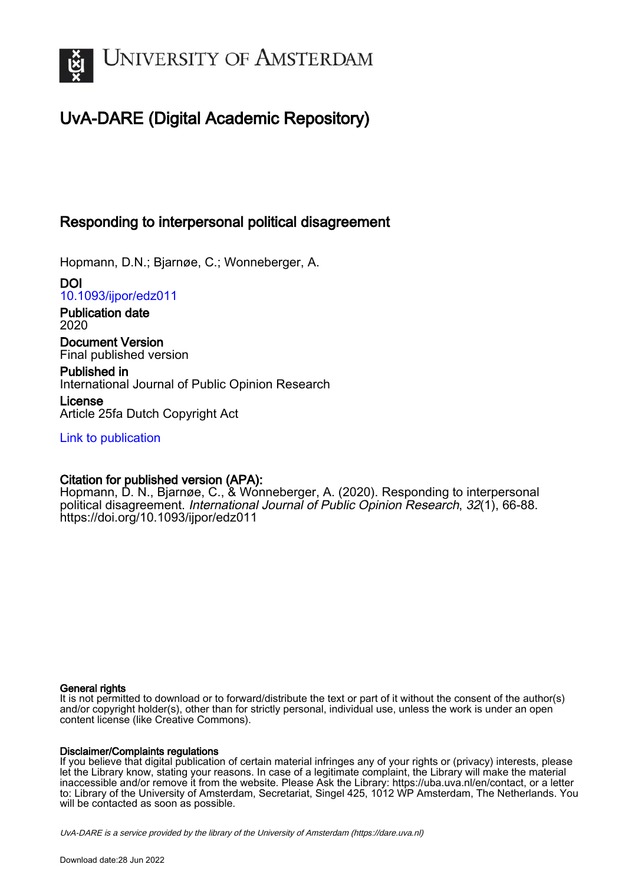

# UvA-DARE (Digital Academic Repository)

# Responding to interpersonal political disagreement

Hopmann, D.N.; Bjarnøe, C.; Wonneberger, A.

DOI [10.1093/ijpor/edz011](https://doi.org/10.1093/ijpor/edz011)

Publication date 2020

Document Version Final published version

Published in International Journal of Public Opinion Research

License Article 25fa Dutch Copyright Act

[Link to publication](https://dare.uva.nl/personal/pure/en/publications/responding-to-interpersonal-political-disagreement(170835ef-1fe1-41e3-a11b-d668a5e9b231).html)

# Citation for published version (APA):

Hopmann, D. N., Bjarnøe, C., & Wonneberger, A. (2020). Responding to interpersonal political disagreement. International Journal of Public Opinion Research, 32(1), 66-88. <https://doi.org/10.1093/ijpor/edz011>

# General rights

It is not permitted to download or to forward/distribute the text or part of it without the consent of the author(s) and/or copyright holder(s), other than for strictly personal, individual use, unless the work is under an open content license (like Creative Commons).

# Disclaimer/Complaints regulations

If you believe that digital publication of certain material infringes any of your rights or (privacy) interests, please let the Library know, stating your reasons. In case of a legitimate complaint, the Library will make the material inaccessible and/or remove it from the website. Please Ask the Library: https://uba.uva.nl/en/contact, or a letter to: Library of the University of Amsterdam, Secretariat, Singel 425, 1012 WP Amsterdam, The Netherlands. You will be contacted as soon as possible.

UvA-DARE is a service provided by the library of the University of Amsterdam (http*s*://dare.uva.nl)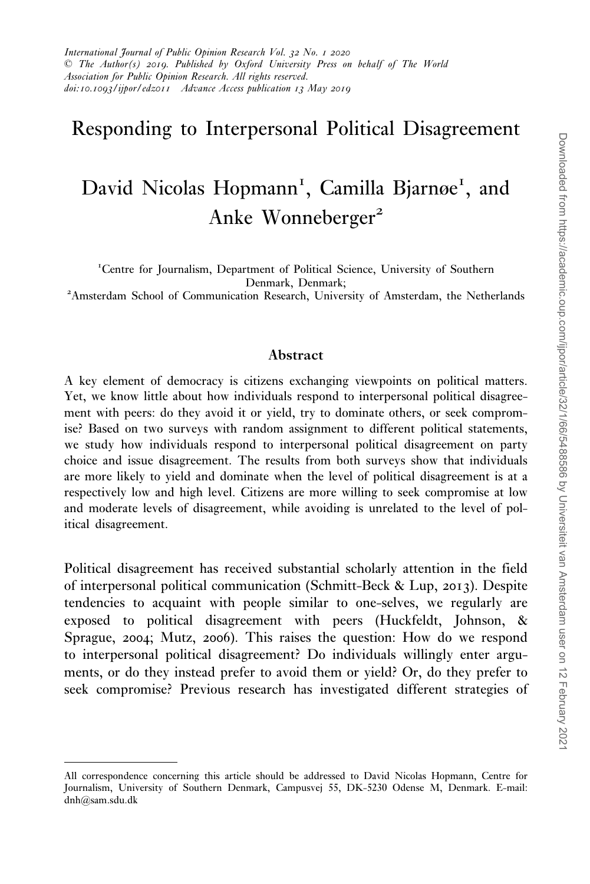# Responding to Interpersonal Political Disagreement

# David Nicolas Hopmann<sup>1</sup>, Camilla Bjarnøe<sup>1</sup>, and Anke Wonneberger<sup>2</sup>

<sup>1</sup>Centre for Journalism, Department of Political Science, University of Southern Denmark, Denmark; <sup>2</sup> Amsterdam School of Communication Research, University of Amsterdam, the Netherlands

#### Abstract

A key element of democracy is citizens exchanging viewpoints on political matters. Yet, we know little about how individuals respond to interpersonal political disagreement with peers: do they avoid it or yield, try to dominate others, or seek compromise? Based on two surveys with random assignment to different political statements, we study how individuals respond to interpersonal political disagreement on party choice and issue disagreement. The results from both surveys show that individuals are more likely to yield and dominate when the level of political disagreement is at a respectively low and high level. Citizens are more willing to seek compromise at low and moderate levels of disagreement, while avoiding is unrelated to the level of political disagreement.

Political disagreement has received substantial scholarly attention in the field of interpersonal political communication ([Schmitt-Beck & Lup,](#page-22-0) 2013). Despite tendencies to acquaint with people similar to one-selves, we regularly are exposed to political disagreement with peers ([Huckfeldt, Johnson, &](#page-21-0) [Sprague,](#page-21-0) 2004; [Mutz,](#page-22-0) 2006). This raises the question: How do we respond to interpersonal political disagreement? Do individuals willingly enter arguments, or do they instead prefer to avoid them or yield? Or, do they prefer to seek compromise? Previous research has investigated different strategies of

All correspondence concerning this article should be addressed to David Nicolas Hopmann, Centre for Journalism, University of Southern Denmark, Campusvej 55, DK-5230 Odense M, Denmark. E-mail: dnh@sam.sdu.dk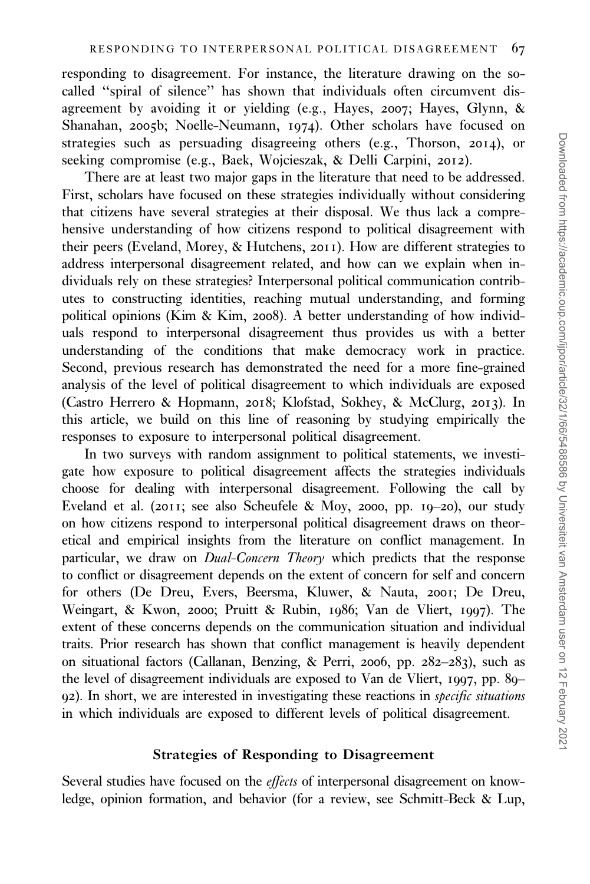responding to disagreement. For instance, the literature drawing on the socalled ''spiral of silence'' has shown that individuals often circumvent disagreement by avoiding it or yielding (e.g., [Hayes,](#page-21-0) 2007; [Hayes, Glynn, &](#page-21-0) [Shanahan,](#page-21-0) 2005b; [Noelle-Neumann,](#page-22-0) 1974). Other scholars have focused on strategies such as persuading disagreeing others (e.g., [Thorson,](#page-22-0) 2014), or seeking compromise (e.g., [Baek, Wojcieszak, & Delli Carpini,](#page-19-0) 2012).

There are at least two major gaps in the literature that need to be addressed. First, scholars have focused on these strategies individually without considering that citizens have several strategies at their disposal. We thus lack a comprehensive understanding of how citizens respond to political disagreement with their peers [\(Eveland, Morey, & Hutchens,](#page-21-0) 2011). How are different strategies to address interpersonal disagreement related, and how can we explain when individuals rely on these strategies? Interpersonal political communication contributes to constructing identities, reaching mutual understanding, and forming political opinions ([Kim & Kim,](#page-21-0) 2008). A better understanding of how individuals respond to interpersonal disagreement thus provides us with a better understanding of the conditions that make democracy work in practice. Second, previous research has demonstrated the need for a more fine-grained analysis of the level of political disagreement to which individuals are exposed ([Castro Herrero & Hopmann,](#page-20-0) 2018; [Klofstad, Sokhey, & McClurg,](#page-21-0) 2013). In this article, we build on this line of reasoning by studying empirically the responses to exposure to interpersonal political disagreement.

In two surveys with random assignment to political statements, we investigate how exposure to political disagreement affects the strategies individuals choose for dealing with interpersonal disagreement. Following the call by [Eveland et al. \(](#page-21-0)2011; see also [Scheufele & Moy,](#page-22-0) 2000, pp. 19–20), our study on how citizens respond to interpersonal political disagreement draws on theoretical and empirical insights from the literature on conflict management. In particular, we draw on *Dual-Concern Theory* which predicts that the response to conflict or disagreement depends on the extent of concern for self and concern for others [\(De Dreu, Evers, Beersma, Kluwer, & Nauta,](#page-20-0) 2001; [De Dreu,](#page-20-0) [Weingart, & Kwon,](#page-20-0) 2000; [Pruitt & Rubin,](#page-22-0) 1986; [Van de Vliert,](#page-22-0) 1997). The extent of these concerns depends on the communication situation and individual traits. Prior research has shown that conflict management is heavily dependent on situational factors [\(Callanan, Benzing, & Perri,](#page-20-0) 2006, pp. 282–283), such as the level of disagreement individuals are exposed to [Van de Vliert,](#page-22-0) 1997, pp. 89– 92). In short, we are interested in investigating these reactions in specific situations in which individuals are exposed to different levels of political disagreement.

# Strategies of Responding to Disagreement

Several studies have focused on the effects of interpersonal disagreement on knowledge, opinion formation, and behavior (for a review, see [Schmitt-Beck & Lup,](#page-22-0)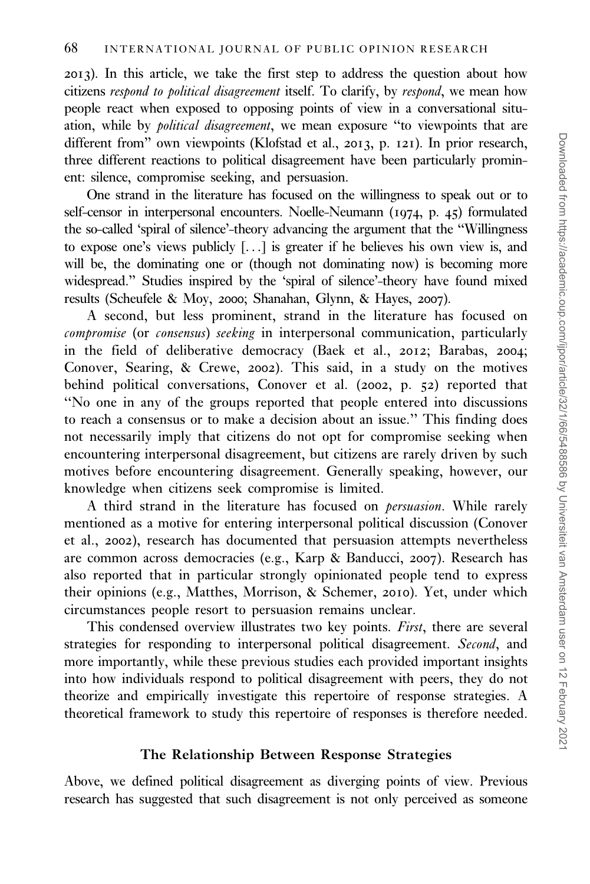[2013](#page-22-0)). In this article, we take the first step to address the question about how citizens respond to political disagreement itself. To clarify, by respond, we mean how people react when exposed to opposing points of view in a conversational situation, while by *political disagreement*, we mean exposure "to viewpoints that are different from'' own viewpoints [\(Klofstad et al.,](#page-21-0) 2013, p. 121). In prior research, three different reactions to political disagreement have been particularly prominent: silence, compromise seeking, and persuasion.

One strand in the literature has focused on the willingness to speak out or to self-censor in interpersonal encounters. [Noelle-Neumann \(](#page-22-0)1974, p. 45) formulated the so-called 'spiral of silence'-theory advancing the argument that the ''Willingness to expose one's views publicly [...] is greater if he believes his own view is, and will be, the dominating one or (though not dominating now) is becoming more widespread.'' Studies inspired by the 'spiral of silence'-theory have found mixed results [\(Scheufele & Moy,](#page-22-0) 2000; [Shanahan, Glynn, & Hayes,](#page-22-0) 2007).

A second, but less prominent, strand in the literature has focused on compromise (or consensus) seeking in interpersonal communication, particularly in the field of deliberative democracy [\(Baek et al.,](#page-19-0) 2012; [Barabas,](#page-19-0) 2004; [Conover, Searing, & Crewe,](#page-20-0) 2002). This said, in a study on the motives behind political conversations, [Conover et al. \(](#page-20-0)2002, p. 52) reported that ''No one in any of the groups reported that people entered into discussions to reach a consensus or to make a decision about an issue.'' This finding does not necessarily imply that citizens do not opt for compromise seeking when encountering interpersonal disagreement, but citizens are rarely driven by such motives before encountering disagreement. Generally speaking, however, our knowledge when citizens seek compromise is limited.

A third strand in the literature has focused on *persuasion*. While rarely mentioned as a motive for entering interpersonal political discussion ([Conover](#page-20-0) [et al.,](#page-20-0) 2002), research has documented that persuasion attempts nevertheless are common across democracies (e.g., [Karp & Banducci,](#page-21-0) 2007). Research has also reported that in particular strongly opinionated people tend to express their opinions (e.g., [Matthes, Morrison, & Schemer,](#page-21-0) 2010). Yet, under which circumstances people resort to persuasion remains unclear.

This condensed overview illustrates two key points. First, there are several strategies for responding to interpersonal political disagreement. Second, and more importantly, while these previous studies each provided important insights into how individuals respond to political disagreement with peers, they do not theorize and empirically investigate this repertoire of response strategies. A theoretical framework to study this repertoire of responses is therefore needed.

# The Relationship Between Response Strategies

Above, we defined political disagreement as diverging points of view. Previous research has suggested that such disagreement is not only perceived as someone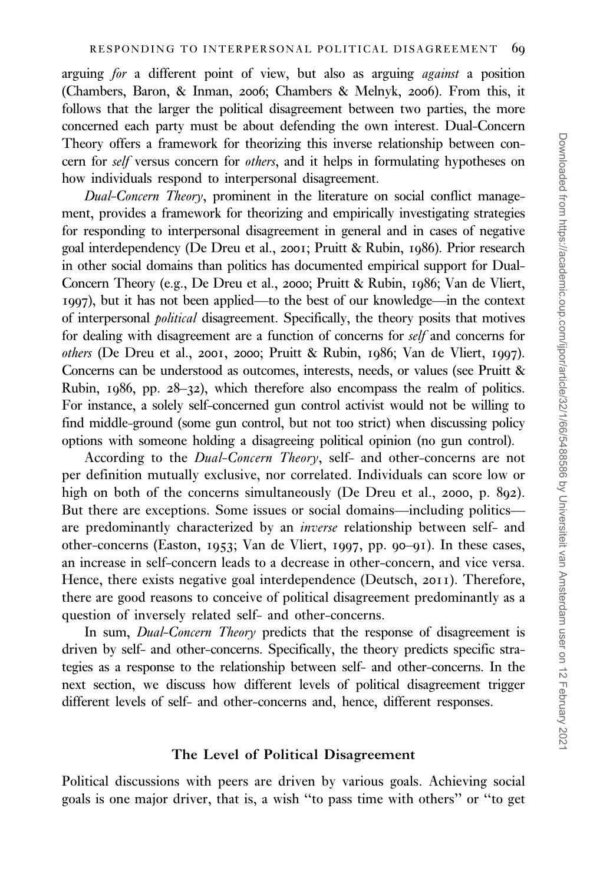arguing for a different point of view, but also as arguing *against* a position ([Chambers, Baron, & Inman,](#page-20-0) 2006; [Chambers & Melnyk,](#page-20-0) 2006). From this, it follows that the larger the political disagreement between two parties, the more concerned each party must be about defending the own interest. Dual-Concern Theory offers a framework for theorizing this inverse relationship between concern for self versus concern for others, and it helps in formulating hypotheses on how individuals respond to interpersonal disagreement.

Dual-Concern Theory, prominent in the literature on social conflict management, provides a framework for theorizing and empirically investigating strategies for responding to interpersonal disagreement in general and in cases of negative goal interdependency [\(De Dreu et al.,](#page-20-0) 2001; [Pruitt & Rubin,](#page-22-0) 1986). Prior research in other social domains than politics has documented empirical support for Dual-Concern Theory (e.g., [De Dreu et al.,](#page-20-0) 2000; [Pruitt & Rubin,](#page-22-0) 1986; [Van de Vliert,](#page-22-0) [1997](#page-22-0)), but it has not been applied—to the best of our knowledge—in the context of interpersonal political disagreement. Specifically, the theory posits that motives for dealing with disagreement are a function of concerns for self and concerns for others [\(De Dreu et al.,](#page-20-0) 2001, [2000](#page-20-0); [Pruitt & Rubin,](#page-22-0) 1986; [Van de Vliert,](#page-22-0) 1997). Concerns can be understood as outcomes, interests, needs, or values (see [Pruitt &](#page-22-0) [Rubin,](#page-22-0) 1986, pp. 28–32), which therefore also encompass the realm of politics. For instance, a solely self-concerned gun control activist would not be willing to find middle-ground (some gun control, but not too strict) when discussing policy options with someone holding a disagreeing political opinion (no gun control).

According to the *Dual-Concern Theory*, self- and other-concerns are not per definition mutually exclusive, nor correlated. Individuals can score low or high on both of the concerns simultaneously ([De Dreu et al.,](#page-20-0) 2000, p. 892). But there are exceptions. Some issues or social domains—including politics are predominantly characterized by an inverse relationship between self- and other-concerns ([Easton,](#page-20-0) 1953; [Van de Vliert,](#page-22-0) 1997, pp. 90–91). In these cases, an increase in self-concern leads to a decrease in other-concern, and vice versa. Hence, there exists negative goal interdependence ([Deutsch,](#page-20-0) 2011). Therefore, there are good reasons to conceive of political disagreement predominantly as a question of inversely related self- and other-concerns.

In sum, *Dual-Concern Theory* predicts that the response of disagreement is driven by self- and other-concerns. Specifically, the theory predicts specific strategies as a response to the relationship between self- and other-concerns. In the next section, we discuss how different levels of political disagreement trigger different levels of self- and other-concerns and, hence, different responses.

#### The Level of Political Disagreement

Political discussions with peers are driven by various goals. Achieving social goals is one major driver, that is, a wish ''to pass time with others'' or ''to get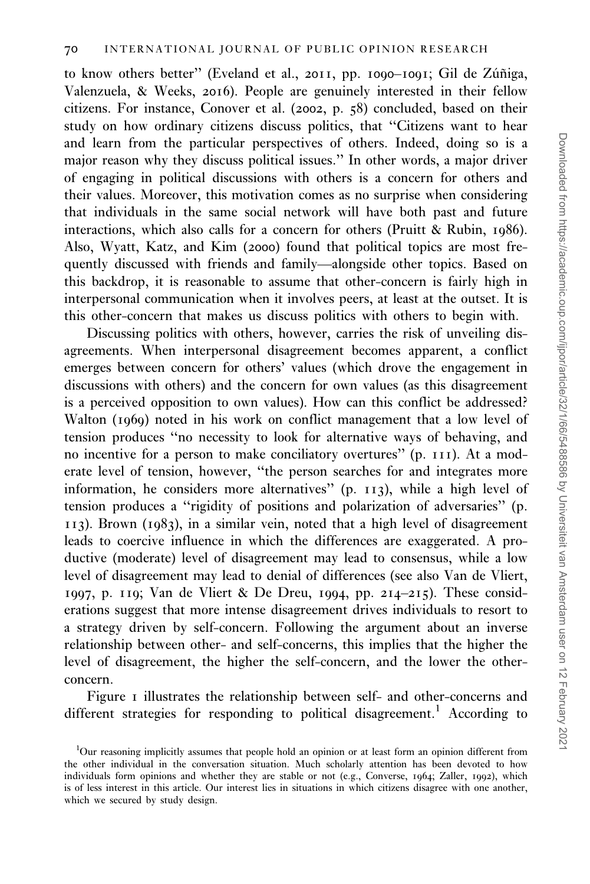to know others better" [\(Eveland et al.,](#page-21-0) 2011, pp. 1090-1091; Gil de Zúñiga, [Valenzuela, & Weeks,](#page-21-0) 2016). People are genuinely interested in their fellow citizens. For instance, [Conover et al. \(](#page-20-0)2002, p. 58) concluded, based on their study on how ordinary citizens discuss politics, that ''Citizens want to hear and learn from the particular perspectives of others. Indeed, doing so is a major reason why they discuss political issues.'' In other words, a major driver of engaging in political discussions with others is a concern for others and their values. Moreover, this motivation comes as no surprise when considering that individuals in the same social network will have both past and future interactions, which also calls for a concern for others ([Pruitt & Rubin,](#page-22-0) 1986). Also, [Wyatt, Katz, and Kim \(](#page-22-0)2000) found that political topics are most frequently discussed with friends and family—alongside other topics. Based on this backdrop, it is reasonable to assume that other-concern is fairly high in interpersonal communication when it involves peers, at least at the outset. It is this other-concern that makes us discuss politics with others to begin with.

Discussing politics with others, however, carries the risk of unveiling disagreements. When interpersonal disagreement becomes apparent, a conflict emerges between concern for others' values (which drove the engagement in discussions with others) and the concern for own values (as this disagreement is a perceived opposition to own values). How can this conflict be addressed? [Walton \(](#page-22-0)1969) noted in his work on conflict management that a low level of tension produces ''no necessity to look for alternative ways of behaving, and no incentive for a person to make conciliatory overtures'' (p. 111). At a moderate level of tension, however, ''the person searches for and integrates more information, he considers more alternatives'' (p. 113), while a high level of tension produces a ''rigidity of positions and polarization of adversaries'' (p. 113). [Brown \(](#page-20-0)1983), in a similar vein, noted that a high level of disagreement leads to coercive influence in which the differences are exaggerated. A productive (moderate) level of disagreement may lead to consensus, while a low level of disagreement may lead to denial of differences (see also [Van de Vliert,](#page-22-0) [1997](#page-22-0), p. 119; [Van de Vliert & De Dreu,](#page-22-0) 1994, pp. 214–215). These considerations suggest that more intense disagreement drives individuals to resort to a strategy driven by self-concern. Following the argument about an inverse relationship between other- and self-concerns, this implies that the higher the level of disagreement, the higher the self-concern, and the lower the otherconcern.

[Figure](#page-6-0) 1 illustrates the relationship between self- and other-concerns and different strategies for responding to political disagreement.<sup>1</sup> According to

<sup>&</sup>lt;sup>1</sup>Our reasoning implicitly assumes that people hold an opinion or at least form an opinion different from the other individual in the conversation situation. Much scholarly attention has been devoted to how individuals form opinions and whether they are stable or not (e.g., [Converse,](#page-20-0) 1964; [Zaller,](#page-22-0) 1992), which is of less interest in this article. Our interest lies in situations in which citizens disagree with one another, which we secured by study design.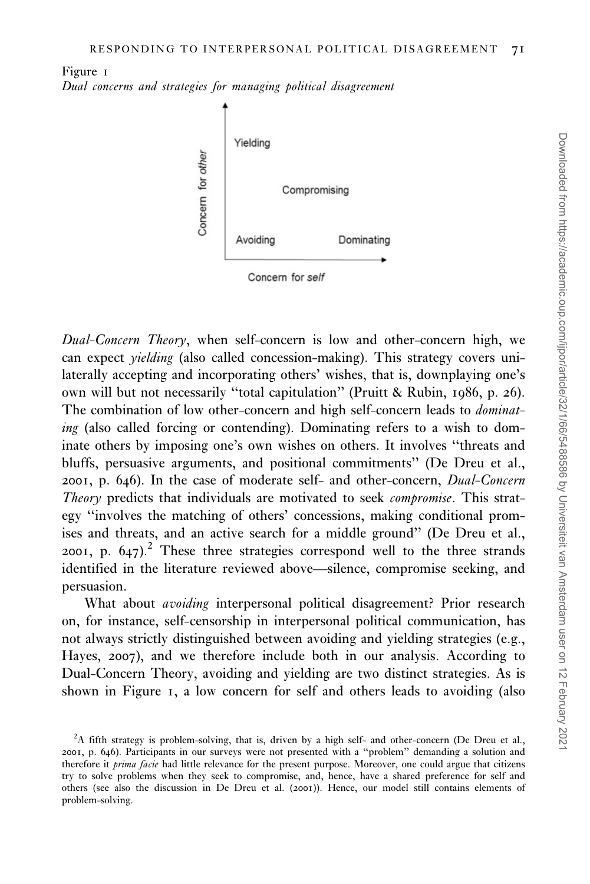<span id="page-6-0"></span>Figure 1 Dual concerns and strategies for managing political disagreement



Dual-Concern Theory, when self-concern is low and other-concern high, we can expect yielding (also called concession-making). This strategy covers unilaterally accepting and incorporating others' wishes, that is, downplaying one's own will but not necessarily ''total capitulation'' [\(Pruitt & Rubin,](#page-22-0) 1986, p. 26). The combination of low other-concern and high self-concern leads to *dominat*ing (also called forcing or contending). Dominating refers to a wish to dominate others by imposing one's own wishes on others. It involves ''threats and bluffs, persuasive arguments, and positional commitments'' ([De Dreu et al.,](#page-20-0) [2001](#page-20-0), p. 646). In the case of moderate self- and other-concern, Dual-Concern Theory predicts that individuals are motivated to seek *compromise*. This strategy ''involves the matching of others' concessions, making conditional promises and threats, and an active search for a middle ground'' [\(De Dreu et al.,](#page-20-0) [2001](#page-20-0), p.  $647$ .<sup>2</sup> These three strategies correspond well to the three strands identified in the literature reviewed above—silence, compromise seeking, and persuasion.

What about *avoiding* interpersonal political disagreement? Prior research on, for instance, self-censorship in interpersonal political communication, has not always strictly distinguished between avoiding and yielding strategies (e.g., [Hayes,](#page-21-0) 2007), and we therefore include both in our analysis. According to Dual-Concern Theory, avoiding and yielding are two distinct strategies. As is shown in Figure 1, a low concern for self and others leads to avoiding (also

 ${}^{2}A$  fifth strategy is problem-solving, that is, driven by a high self- and other-concern ([De Dreu et al.,](#page-20-0) [2001](#page-20-0), p. 646). Participants in our surveys were not presented with a ''problem'' demanding a solution and therefore it prima facie had little relevance for the present purpose. Moreover, one could argue that citizens try to solve problems when they seek to compromise, and, hence, have a shared preference for self and others (see also the discussion in De Dreu et al. ([2001](#page-20-0))). Hence, our model still contains elements of problem-solving.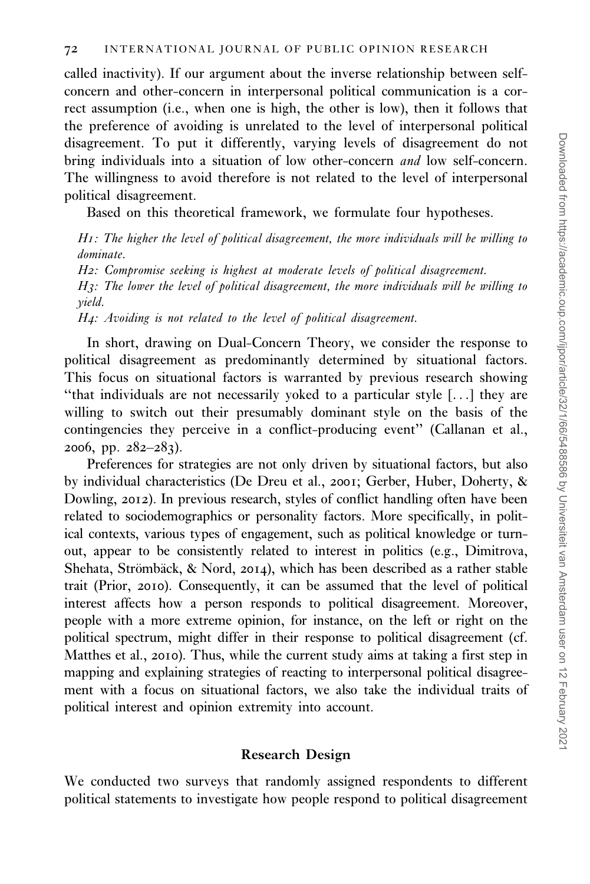called inactivity). If our argument about the inverse relationship between selfconcern and other-concern in interpersonal political communication is a correct assumption (i.e., when one is high, the other is low), then it follows that the preference of avoiding is unrelated to the level of interpersonal political disagreement. To put it differently, varying levels of disagreement do not bring individuals into a situation of low other-concern *and* low self-concern. The willingness to avoid therefore is not related to the level of interpersonal political disagreement.

Based on this theoretical framework, we formulate four hypotheses.

H1: The higher the level of political disagreement, the more individuals will be willing to dominate. H2: Compromise seeking is highest at moderate levels of political disagreement.

H3: The lower the level of political disagreement, the more individuals will be willing to yield.

H4: Avoiding is not related to the level of political disagreement.

In short, drawing on Dual-Concern Theory, we consider the response to political disagreement as predominantly determined by situational factors. This focus on situational factors is warranted by previous research showing ''that individuals are not necessarily yoked to a particular style [...] they are willing to switch out their presumably dominant style on the basis of the contingencies they perceive in a conflict-producing event'' [\(Callanan et al.,](#page-20-0) [2006](#page-20-0), pp.  $282-283$ ).

Preferences for strategies are not only driven by situational factors, but also by individual characteristics [\(De Dreu et al.,](#page-20-0) 2001; [Gerber, Huber, Doherty, &](#page-21-0) [Dowling,](#page-21-0) 2012). In previous research, styles of conflict handling often have been related to sociodemographics or personality factors. More specifically, in political contexts, various types of engagement, such as political knowledge or turnout, appear to be consistently related to interest in politics (e.g., [Dimitrova,](#page-20-0) Shehata, Strömbäck, & Nord, 2014), which has been described as a rather stable trait ([Prior,](#page-22-0) 2010). Consequently, it can be assumed that the level of political interest affects how a person responds to political disagreement. Moreover, people with a more extreme opinion, for instance, on the left or right on the political spectrum, might differ in their response to political disagreement (cf. [Matthes et al.,](#page-21-0) 2010). Thus, while the current study aims at taking a first step in mapping and explaining strategies of reacting to interpersonal political disagreement with a focus on situational factors, we also take the individual traits of political interest and opinion extremity into account.

# Research Design

We conducted two surveys that randomly assigned respondents to different political statements to investigate how people respond to political disagreement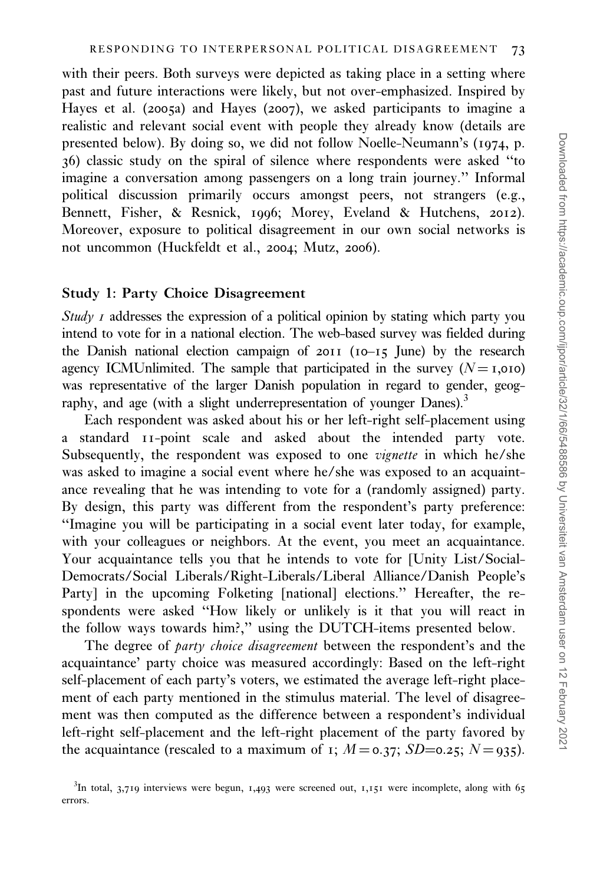with their peers. Both surveys were depicted as taking place in a setting where past and future interactions were likely, but not over-emphasized. Inspired by [Hayes et al. \(](#page-21-0)2005a) and [Hayes \(](#page-21-0)2007), we asked participants to imagine a realistic and relevant social event with people they already know (details are presented below). By doing so, we did not follow [Noelle-Neumann's \(](#page-22-0)1974, p. 36) classic study on the spiral of silence where respondents were asked ''to imagine a conversation among passengers on a long train journey.'' Informal political discussion primarily occurs amongst peers, not strangers (e.g., [Bennett, Fisher, & Resnick,](#page-19-0) 1996; [Morey, Eveland & Hutchens,](#page-22-0) 2012). Moreover, exposure to political disagreement in our own social networks is not uncommon ([Huckfeldt et al.,](#page-21-0) 2004; [Mutz,](#page-22-0) 2006).

#### Study 1: Party Choice Disagreement

Study  $I$  addresses the expression of a political opinion by stating which party you intend to vote for in a national election. The web-based survey was fielded during the Danish national election campaign of 2011 (10–15 June) by the research agency ICMUnlimited. The sample that participated in the survey  $(N = I,010)$ was representative of the larger Danish population in regard to gender, geography, and age (with a slight underrepresentation of younger Danes).<sup>3</sup>

Each respondent was asked about his or her left-right self-placement using a standard 11-point scale and asked about the intended party vote. Subsequently, the respondent was exposed to one vignette in which he/she was asked to imagine a social event where he/she was exposed to an acquaintance revealing that he was intending to vote for a (randomly assigned) party. By design, this party was different from the respondent's party preference: ''Imagine you will be participating in a social event later today, for example, with your colleagues or neighbors. At the event, you meet an acquaintance. Your acquaintance tells you that he intends to vote for [Unity List/Social-Democrats/Social Liberals/Right-Liberals/Liberal Alliance/Danish People's Party] in the upcoming Folketing [national] elections." Hereafter, the respondents were asked ''How likely or unlikely is it that you will react in the follow ways towards him?,'' using the DUTCH-items presented below.

The degree of party choice disagreement between the respondent's and the acquaintance' party choice was measured accordingly: Based on the left-right self-placement of each party's voters, we estimated the average left-right placement of each party mentioned in the stimulus material. The level of disagreement was then computed as the difference between a respondent's individual left-right self-placement and the left-right placement of the party favored by the acquaintance (rescaled to a maximum of 1;  $M = 0.37$ ;  $SD = 0.25$ ;  $N = 935$ ).

 $3$ In total, 3,719 interviews were begun, 1,493 were screened out, 1,151 were incomplete, along with 65 errors.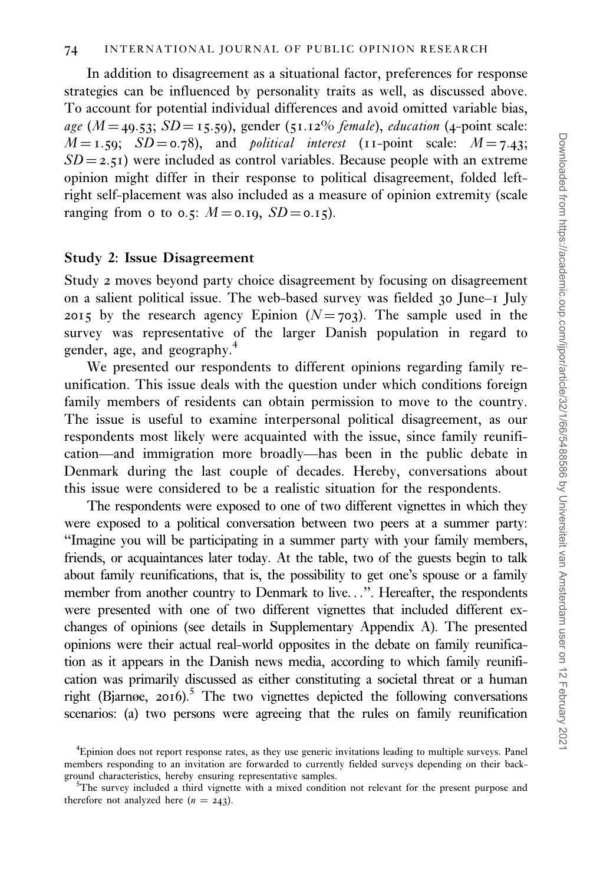In addition to disagreement as a situational factor, preferences for response strategies can be influenced by personality traits as well, as discussed above. To account for potential individual differences and avoid omitted variable bias, age ( $M = 49.53$ ;  $SD = 15.59$ ), gender (51.12% *female*), *education* (4-point scale:  $M = 1.59$ ;  $SD = 0.78$ ), and *political interest* (11-point scale:  $M = 7.43$ ;  $SD = 2.51$ ) were included as control variables. Because people with an extreme opinion might differ in their response to political disagreement, folded leftright self-placement was also included as a measure of opinion extremity (scale ranging from 0 to 0.5:  $M = 0.19$ ,  $SD = 0.15$ ).

### Study 2: Issue Disagreement

Study 2 moves beyond party choice disagreement by focusing on disagreement on a salient political issue. The web-based survey was fielded 30 June–1 July 2015 by the research agency Epinion ( $N = 703$ ). The sample used in the survey was representative of the larger Danish population in regard to gender, age, and geography.<sup>4</sup>

We presented our respondents to different opinions regarding family reunification. This issue deals with the question under which conditions foreign family members of residents can obtain permission to move to the country. The issue is useful to examine interpersonal political disagreement, as our respondents most likely were acquainted with the issue, since family reunification—and immigration more broadly—has been in the public debate in Denmark during the last couple of decades. Hereby, conversations about this issue were considered to be a realistic situation for the respondents.

The respondents were exposed to one of two different vignettes in which they were exposed to a political conversation between two peers at a summer party: ''Imagine you will be participating in a summer party with your family members, friends, or acquaintances later today. At the table, two of the guests begin to talk about family reunifications, that is, the possibility to get one's spouse or a family member from another country to Denmark to live...''. Hereafter, the respondents were presented with one of two different vignettes that included different exchanges of opinions (see details in Supplementary Appendix A). The presented opinions were their actual real-world opposites in the debate on family reunification as it appears in the Danish news media, according to which family reunification was primarily discussed as either constituting a societal threat or a human right [\(Bjarnøe,](#page-19-0) 2016).<sup>5</sup> The two vignettes depicted the following conversations scenarios: (a) two persons were agreeing that the rules on family reunification

<sup>4</sup> Epinion does not report response rates, as they use generic invitations leading to multiple surveys. Panel members responding to an invitation are forwarded to currently fielded surveys depending on their background characteristics, hereby ensuring representative samples. <sup>5</sup>

 $5$ The survey included a third vignette with a mixed condition not relevant for the present purpose and therefore not analyzed here  $(n = 243)$ .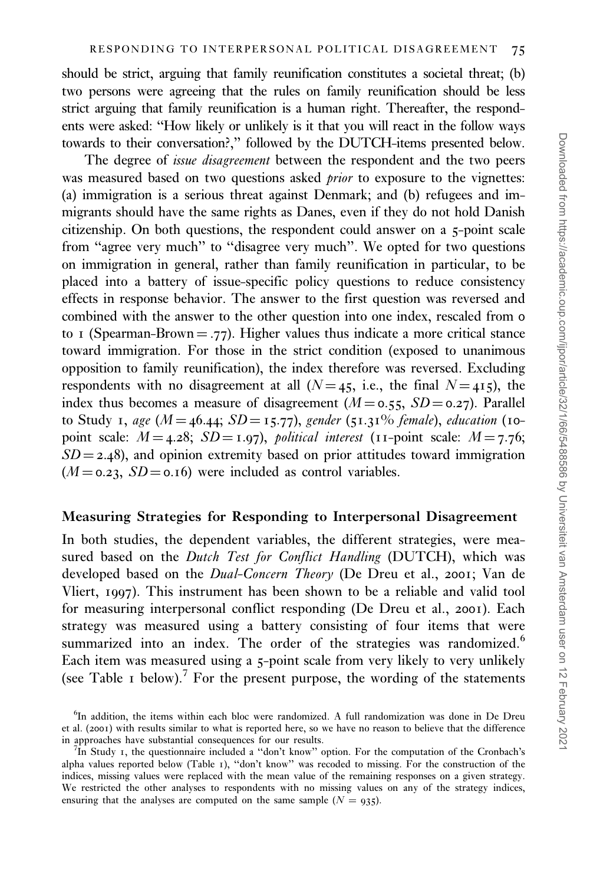should be strict, arguing that family reunification constitutes a societal threat; (b) two persons were agreeing that the rules on family reunification should be less strict arguing that family reunification is a human right. Thereafter, the respondents were asked: ''How likely or unlikely is it that you will react in the follow ways towards to their conversation?,'' followed by the DUTCH-items presented below.

The degree of *issue disagreement* between the respondent and the two peers was measured based on two questions asked *prior* to exposure to the vignettes: (a) immigration is a serious threat against Denmark; and (b) refugees and immigrants should have the same rights as Danes, even if they do not hold Danish citizenship. On both questions, the respondent could answer on a 5-point scale from "agree very much" to "disagree very much". We opted for two questions on immigration in general, rather than family reunification in particular, to be placed into a battery of issue-specific policy questions to reduce consistency effects in response behavior. The answer to the first question was reversed and combined with the answer to the other question into one index, rescaled from 0 to 1 (Spearman-Brown = .77). Higher values thus indicate a more critical stance toward immigration. For those in the strict condition (exposed to unanimous opposition to family reunification), the index therefore was reversed. Excluding respondents with no disagreement at all ( $N=45$ , i.e., the final  $N=415$ ), the index thus becomes a measure of disagreement ( $M = 0.55$ ,  $SD = 0.27$ ). Parallel to Study 1, age ( $M = 46.44$ ;  $SD = 15.77$ ), gender (51.31% female), education (10point scale:  $M = 4.28$ ;  $SD = 1.97$ ), political interest (11-point scale:  $M = 7.76$ ;  $SD = 2.48$ ), and opinion extremity based on prior attitudes toward immigration  $(M = 0.23, SD = 0.16)$  were included as control variables.

### Measuring Strategies for Responding to Interpersonal Disagreement

In both studies, the dependent variables, the different strategies, were measured based on the Dutch Test for Conflict Handling (DUTCH), which was developed based on the Dual-Concern Theory [\(De Dreu et al.,](#page-20-0) 2001; [Van de](#page-22-0) [Vliert,](#page-22-0) 1997). This instrument has been shown to be a reliable and valid tool for measuring interpersonal conflict responding [\(De Dreu et al.,](#page-20-0) 2001). Each strategy was measured using a battery consisting of four items that were summarized into an index. The order of the strategies was randomized.<sup>6</sup> Each item was measured using a 5-point scale from very likely to very unlikely (see [Table](#page-11-0) 1 below).<sup>7</sup> For the present purpose, the wording of the statements

<sup>&</sup>lt;sup>6</sup>In addition, the items within each bloc were randomized. A full randomization was done in [De Dreu](#page-20-0) [et al. \(](#page-20-0)2001) with results similar to what is reported here, so we have no reason to believe that the difference in approaches have substantial consequences for our results. <sup>7</sup>

 ${}^{7}$ In Study 1, the questionnaire included a "don't know" option. For the computation of the Cronbach's alpha values reported below ([Table](#page-11-0) 1), ''don't know'' was recoded to missing. For the construction of the indices, missing values were replaced with the mean value of the remaining responses on a given strategy. We restricted the other analyses to respondents with no missing values on any of the strategy indices, ensuring that the analyses are computed on the same sample  $(N = 935)$ .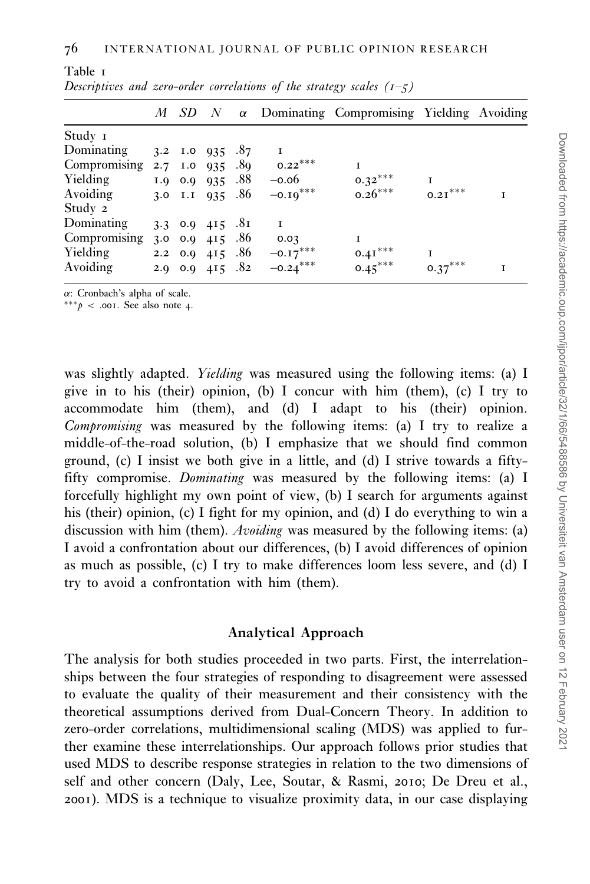|              |  |                            |     |              | $M$ SD $N$ $\alpha$ Dominating Compromising Yielding Avoiding |           |  |
|--------------|--|----------------------------|-----|--------------|---------------------------------------------------------------|-----------|--|
| Study 1      |  |                            |     |              |                                                               |           |  |
| Dominating   |  | 3.2 I.0 $935$ .87          |     | Т            |                                                               |           |  |
| Compromising |  | 2.7 I.0 935                | .89 | $0.22***$    |                                                               |           |  |
| Yielding     |  | $1.0 \quad 0.0 \quad 0.35$ | .88 | $-0.06$      | $0.32***$                                                     | T         |  |
| Avoiding     |  | 3.0 I.I $935$ .86          |     | $-0.19***$   | $0.26***$                                                     | $0.21***$ |  |
| Study 2      |  |                            |     |              |                                                               |           |  |
| Dominating   |  | 3.3 $0.9$ 415 .81          |     | $\mathbf{I}$ |                                                               |           |  |
| Compromising |  | 3.0 0.9 415 .86            |     | 0.03         |                                                               |           |  |
| Yielding     |  | $2.2 \quad 0.0 \quad 415$  | .86 | $-0.17***$   | $0.41***$                                                     | T         |  |
| Avoiding     |  | 2.9 0.9 415 .82            |     | $-0.24***$   | $0.45***$                                                     | $0.37***$ |  |

| Descriptives and zero-order correlations of the strategy scales $(1-5)$ |  |  |  |  |
|-------------------------------------------------------------------------|--|--|--|--|
|                                                                         |  |  |  |  |

 $\alpha$ : Cronbach's alpha of scale.

<span id="page-11-0"></span>Table 1

\*\*\* $p$  < .001. See also note 4.

was slightly adapted. *Yielding* was measured using the following items: (a) I give in to his (their) opinion, (b) I concur with him (them), (c) I try to accommodate him (them), and (d) I adapt to his (their) opinion. Compromising was measured by the following items: (a) I try to realize a middle-of-the-road solution, (b) I emphasize that we should find common ground, (c) I insist we both give in a little, and (d) I strive towards a fiftyfifty compromise. Dominating was measured by the following items: (a) I forcefully highlight my own point of view, (b) I search for arguments against his (their) opinion, (c) I fight for my opinion, and (d) I do everything to win a discussion with him (them). *Avoiding* was measured by the following items: (a) I avoid a confrontation about our differences, (b) I avoid differences of opinion as much as possible, (c) I try to make differences loom less severe, and (d) I try to avoid a confrontation with him (them).

# Analytical Approach

The analysis for both studies proceeded in two parts. First, the interrelationships between the four strategies of responding to disagreement were assessed to evaluate the quality of their measurement and their consistency with the theoretical assumptions derived from Dual-Concern Theory. In addition to zero-order correlations, multidimensional scaling (MDS) was applied to further examine these interrelationships. Our approach follows prior studies that used MDS to describe response strategies in relation to the two dimensions of self and other concern [\(Daly, Lee, Soutar, & Rasmi,](#page-20-0) 2010; [De Dreu et al.,](#page-20-0) [2001](#page-20-0)). MDS is a technique to visualize proximity data, in our case displaying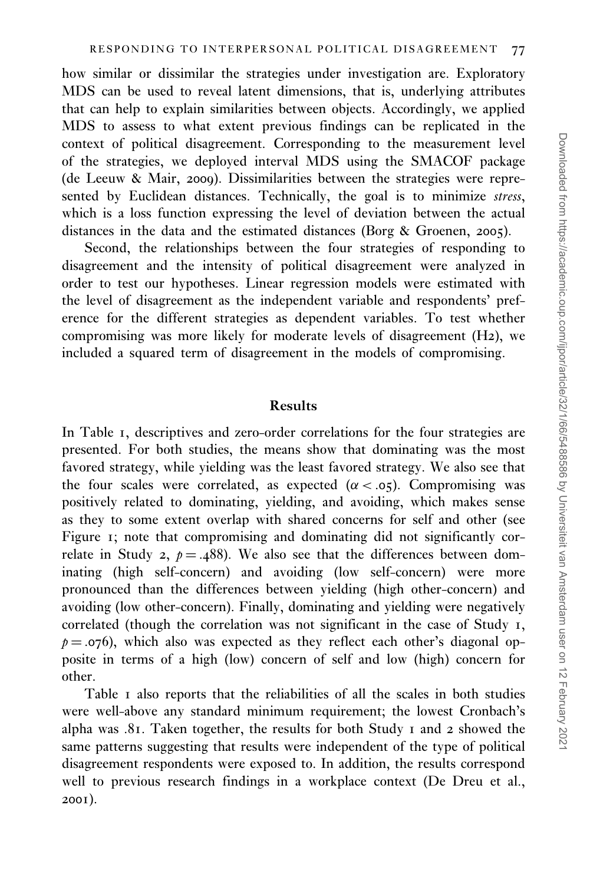how similar or dissimilar the strategies under investigation are. Exploratory MDS can be used to reveal latent dimensions, that is, underlying attributes that can help to explain similarities between objects. Accordingly, we applied MDS to assess to what extent previous findings can be replicated in the context of political disagreement. Corresponding to the measurement level of the strategies, we deployed interval MDS using the SMACOF package ([de Leeuw & Mair,](#page-20-0) 2009). Dissimilarities between the strategies were represented by Euclidean distances. Technically, the goal is to minimize stress, which is a loss function expressing the level of deviation between the actual distances in the data and the estimated distances ([Borg & Groenen,](#page-20-0) 2005).

Second, the relationships between the four strategies of responding to disagreement and the intensity of political disagreement were analyzed in order to test our hypotheses. Linear regression models were estimated with the level of disagreement as the independent variable and respondents' preference for the different strategies as dependent variables. To test whether compromising was more likely for moderate levels of disagreement (H2), we included a squared term of disagreement in the models of compromising.

#### Results

In [Table](#page-11-0) 1, descriptives and zero-order correlations for the four strategies are presented. For both studies, the means show that dominating was the most favored strategy, while yielding was the least favored strategy. We also see that the four scales were correlated, as expected  $(\alpha < .05)$ . Compromising was positively related to dominating, yielding, and avoiding, which makes sense as they to some extent overlap with shared concerns for self and other (see [Figure](#page-6-0) 1; note that compromising and dominating did not significantly correlate in Study 2,  $p = .488$ . We also see that the differences between dominating (high self-concern) and avoiding (low self-concern) were more pronounced than the differences between yielding (high other-concern) and avoiding (low other-concern). Finally, dominating and yielding were negatively correlated (though the correlation was not significant in the case of Study 1,  $p = .076$ ), which also was expected as they reflect each other's diagonal opposite in terms of a high (low) concern of self and low (high) concern for other.

[Table](#page-11-0) 1 also reports that the reliabilities of all the scales in both studies were well-above any standard minimum requirement; the lowest Cronbach's alpha was .81. Taken together, the results for both Study 1 and 2 showed the same patterns suggesting that results were independent of the type of political disagreement respondents were exposed to. In addition, the results correspond well to previous research findings in a workplace context [\(De Dreu et al.,](#page-20-0) [2001](#page-20-0)).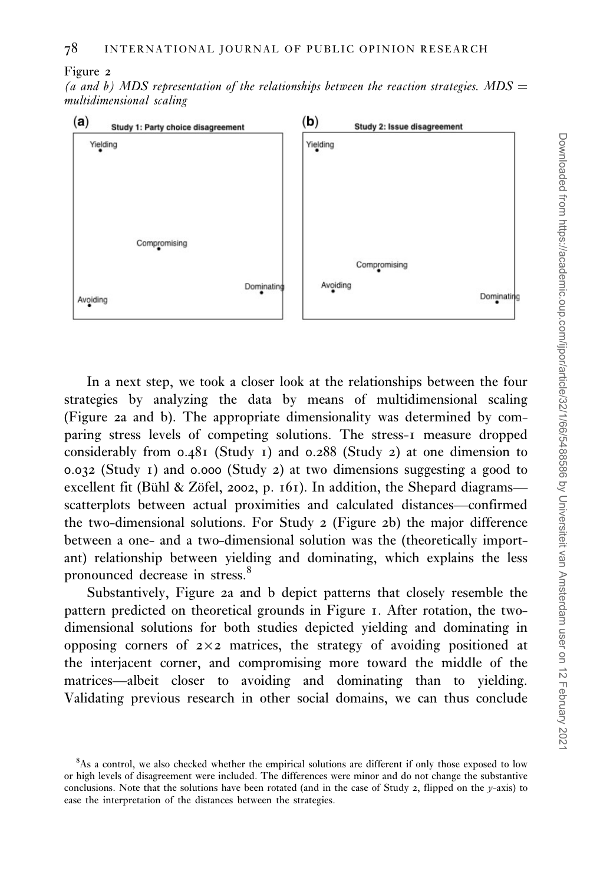Figure 2

(a and b) MDS representation of the relationships between the reaction strategies. MDS  $=$ multidimensional scaling



In a next step, we took a closer look at the relationships between the four strategies by analyzing the data by means of multidimensional scaling (Figure 2a and b). The appropriate dimensionality was determined by comparing stress levels of competing solutions. The stress-1 measure dropped considerably from 0.481 (Study 1) and 0.288 (Study 2) at one dimension to 0.032 (Study 1) and 0.000 (Study 2) at two dimensions suggesting a good to excellent fit (Bühl & Zöfel, 2002, p. 161). In addition, the Shepard diagrams scatterplots between actual proximities and calculated distances—confirmed the two-dimensional solutions. For Study 2 (Figure 2b) the major difference between a one- and a two-dimensional solution was the (theoretically important) relationship between yielding and dominating, which explains the less pronounced decrease in stress.<sup>8</sup>

Substantively, Figure 2a and b depict patterns that closely resemble the pattern predicted on theoretical grounds in [Figure](#page-6-0) 1. After rotation, the twodimensional solutions for both studies depicted yielding and dominating in opposing corners of  $2\times2$  matrices, the strategy of avoiding positioned at the interjacent corner, and compromising more toward the middle of the matrices—albeit closer to avoiding and dominating than to yielding. Validating previous research in other social domains, we can thus conclude

 $8$ As a control, we also checked whether the empirical solutions are different if only those exposed to low or high levels of disagreement were included. The differences were minor and do not change the substantive conclusions. Note that the solutions have been rotated (and in the case of Study 2, flipped on the y-axis) to ease the interpretation of the distances between the strategies.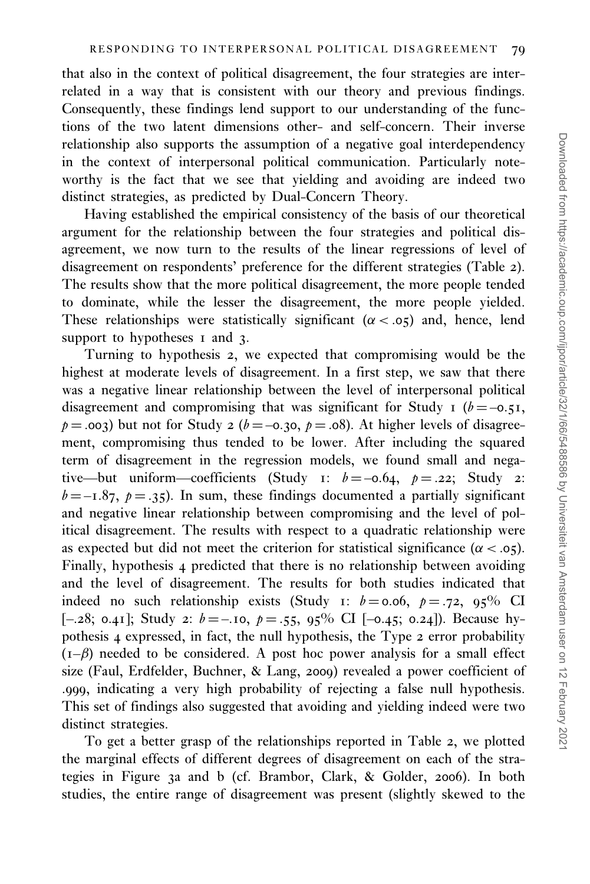that also in the context of political disagreement, the four strategies are interrelated in a way that is consistent with our theory and previous findings. Consequently, these findings lend support to our understanding of the functions of the two latent dimensions other- and self-concern. Their inverse relationship also supports the assumption of a negative goal interdependency in the context of interpersonal political communication. Particularly noteworthy is the fact that we see that yielding and avoiding are indeed two distinct strategies, as predicted by Dual-Concern Theory.

Having established the empirical consistency of the basis of our theoretical argument for the relationship between the four strategies and political disagreement, we now turn to the results of the linear regressions of level of disagreement on respondents' preference for the different strategies ([Table](#page-15-0) 2). The results show that the more political disagreement, the more people tended to dominate, while the lesser the disagreement, the more people yielded. These relationships were statistically significant ( $\alpha < .05$ ) and, hence, lend support to hypotheses 1 and 3.

Turning to hypothesis 2, we expected that compromising would be the highest at moderate levels of disagreement. In a first step, we saw that there was a negative linear relationship between the level of interpersonal political disagreement and compromising that was significant for Study 1 ( $b = -0.51$ ,  $p = .003$ ) but not for Study 2 ( $b = -0.30$ ,  $p = .08$ ). At higher levels of disagreement, compromising thus tended to be lower. After including the squared term of disagreement in the regression models, we found small and negative—but uniform—coefficients (Study 1:  $b = -0.64$ ,  $p = .22$ ; Study 2:  $b = -1.87$ ,  $p = .35$ ). In sum, these findings documented a partially significant and negative linear relationship between compromising and the level of political disagreement. The results with respect to a quadratic relationship were as expected but did not meet the criterion for statistical significance ( $\alpha < .05$ ). Finally, hypothesis 4 predicted that there is no relationship between avoiding and the level of disagreement. The results for both studies indicated that indeed no such relationship exists (Study 1:  $b = 0.06$ ,  $p = .72$ , 95% CI [-.28; 0.41]; Study 2:  $b = -10$ ,  $p = .55$ ,  $95\%$  CI [-0.45; 0.24]). Because hypothesis 4 expressed, in fact, the null hypothesis, the Type 2 error probability  $(I-\beta)$  needed to be considered. A post hoc power analysis for a small effect size ([Faul, Erdfelder, Buchner, & Lang,](#page-21-0) 2009) revealed a power coefficient of .999, indicating a very high probability of rejecting a false null hypothesis. This set of findings also suggested that avoiding and yielding indeed were two distinct strategies.

To get a better grasp of the relationships reported in [Table](#page-15-0) 2, we plotted the marginal effects of different degrees of disagreement on each of the strategies in Figure 3a and b (cf. [Brambor, Clark, & Golder,](#page-20-0) 2006). In both studies, the entire range of disagreement was present (slightly skewed to the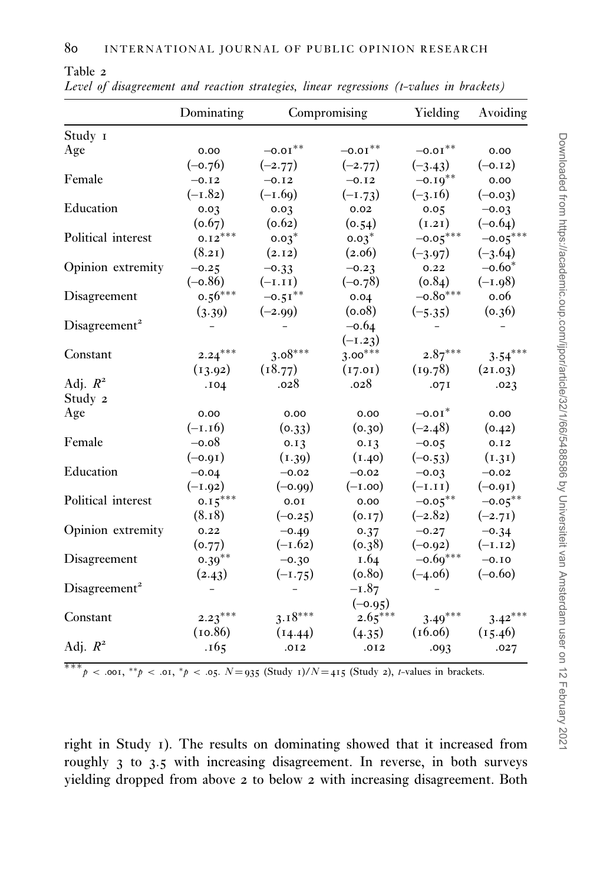<span id="page-15-0"></span>Table 2

|                           | Dominating |                       | Compromising          | Yielding              | Avoiding   |
|---------------------------|------------|-----------------------|-----------------------|-----------------------|------------|
| Study I                   |            |                       |                       |                       |            |
| Age                       | 0.00       | $-0.01$ <sup>**</sup> | $-0.01$ <sup>**</sup> | $-0.01$ <sup>**</sup> | 0.00       |
|                           | $(-0.76)$  | $(-2.77)$             | $(-2.77)$             | $(-3.43)$             | $(-0.12)$  |
| Female                    | $-0.12$    | $-0.12$               | $-0.12$               | $-0.19$ **            | 0.00       |
|                           | $(-1.82)$  | $(-1.69)$             | $(-1.73)$             | $(-3.16)$             | $(-0.03)$  |
| Education                 | 0.03       | 0.03                  | 0.02                  | 0.05                  | $-0.03$    |
|                           | (0.67)     | (0.62)                | (0.54)                | (1.21)                | $(-0.64)$  |
| Political interest        | $0.12***$  | $0.03*$               | $0.03*$               | $-0.05***$            | $-0.05***$ |
|                           | (8.21)     | (2.12)                | (2.06)                | $(-3.97)$             | $(-3.64)$  |
| Opinion extremity         | $-0.25$    | $-0.33$               | $-0.23$               | 0.22                  | $-0.60*$   |
|                           | $(-0.86)$  | $(-1.11)$             | $(-0.78)$             | (0.84)                | $(-1.98)$  |
| Disagreement              | $0.56***$  | $-0.51$ **            | 0.04                  | $-0.80***$            | 0.06       |
|                           | (3.39)     | $(-2.99)$             | (0.08)                | $(-5.35)$             | (0.36)     |
| Disagreement <sup>2</sup> |            |                       | $-0.64$               |                       |            |
|                           |            |                       | $(-1.23)$             |                       |            |
| Constant                  | $2.24***$  | $3.08***$             | $3.00***$             | $2.87***$             | $3.54***$  |
|                           | (13.92)    | (18.77)               | (17.01)               | (19.78)               | (21.03)    |
| Adj. $R^2$                | .104       | .028                  | .028                  | .07I                  | .023       |
| Study 2                   |            |                       |                       |                       |            |
| Age                       | 0.00       | 0.00                  | 0.00                  | $-0.01*$              | 0.00       |
|                           | $(-1.16)$  | (0.33)                | (0.30)                | $(-2.48)$             | (0.42)     |
| Female                    | $-0.08$    | 0.13                  | 0.13                  | $-0.05$               | 0.12       |
|                           | $(-0.91)$  | (1.39)                | (1.40)                | $(-0.53)$             | (1.31)     |
| Education                 | $-0.04$    | $-0.02$               | $-0.02$               | $-0.03$               | $-0.02$    |
|                           | $(-1.92)$  | $(-0.00)$             | $(-1.00)$             | $(-1.11)$             | $(-0.01)$  |
| Political interest        | $0.15***$  | 0.0I                  | 0.00                  | $-0.05***$            | $-0.05***$ |
|                           | (8.18)     | $(-0.25)$             | (0.17)                | $(-2.82)$             | $(-2.71)$  |
| Opinion extremity         | 0.22       | $-0.49$               | 0.37                  | $-0.27$               | $-0.34$    |
|                           | (0.77)     | $(-1.62)$             | (0.38)                | $(-0.92)$             | $(-1.12)$  |
| Disagreement              | $0.39***$  | $-0.30$               | 1.64                  | $-0.69***$            | $-0.10$    |
|                           | (2.43)     | $(-1.75)$             | (0.80)                | $(-4.06)$             | $(-0.60)$  |
| Disagreement <sup>2</sup> |            |                       | $-1.87$               |                       |            |
|                           |            |                       | $(-0.95)$             |                       |            |
| Constant                  | $2.23***$  | $3.18***$             | $2.65***$             | $3.49***$             | $3.42***$  |
|                           | (10.86)    | (14.44)               | (4.35)                | (16.06)               | (15.46)    |
| Adj. $R^2$                | .165       | .012                  | .012                  | .093                  | .027       |

Level of disagreement and reaction strategies, linear regressions (t-values in brackets)

\*\*\*p < .001, \*\*p < .01, \*p < .05.  $N=935$  (Study 1)/ $N=415$  (Study 2), t-values in brackets.

right in Study 1). The results on dominating showed that it increased from roughly 3 to 3.5 with increasing disagreement. In reverse, in both surveys yielding dropped from above 2 to below 2 with increasing disagreement. Both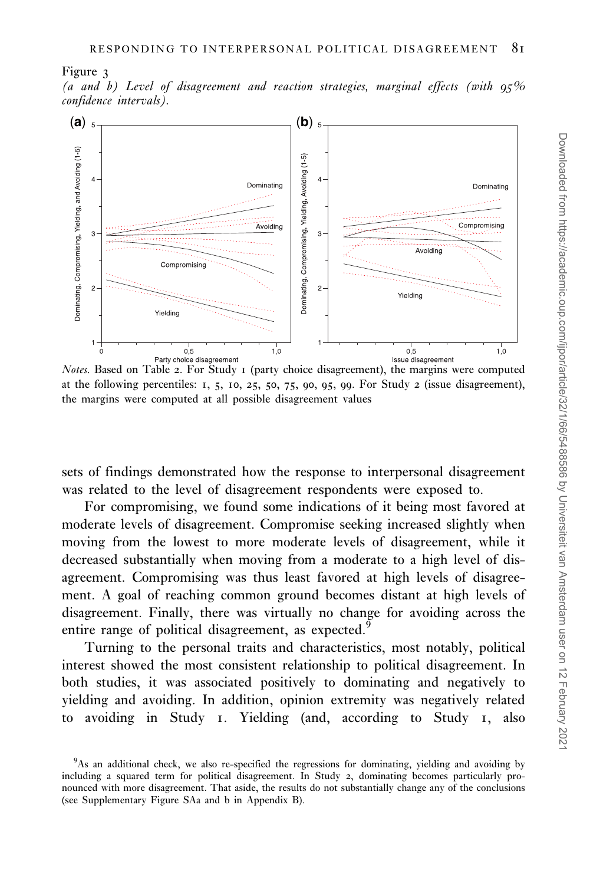#### Figure 3

(a and b) Level of disagreement and reaction strategies, marginal effects (with  $95\%$ confidence intervals).



Notes. Based on [Table](#page-15-0) 2. For Study 1 (party choice disagreement), the margins were computed at the following percentiles:  $1, 5, 10, 25, 50, 75, 90, 95, 99$ . For Study 2 (issue disagreement), the margins were computed at all possible disagreement values

sets of findings demonstrated how the response to interpersonal disagreement was related to the level of disagreement respondents were exposed to.

For compromising, we found some indications of it being most favored at moderate levels of disagreement. Compromise seeking increased slightly when moving from the lowest to more moderate levels of disagreement, while it decreased substantially when moving from a moderate to a high level of disagreement. Compromising was thus least favored at high levels of disagreement. A goal of reaching common ground becomes distant at high levels of disagreement. Finally, there was virtually no change for avoiding across the entire range of political disagreement, as expected.<sup>9</sup>

Turning to the personal traits and characteristics, most notably, political interest showed the most consistent relationship to political disagreement. In both studies, it was associated positively to dominating and negatively to yielding and avoiding. In addition, opinion extremity was negatively related to avoiding in Study 1. Yielding (and, according to Study 1, also

<sup>&</sup>lt;sup>9</sup>As an additional check, we also re-specified the regressions for dominating, yielding and avoiding by including a squared term for political disagreement. In Study 2, dominating becomes particularly pronounced with more disagreement. That aside, the results do not substantially change any of the conclusions (see Supplementary Figure SAa and b in Appendix B).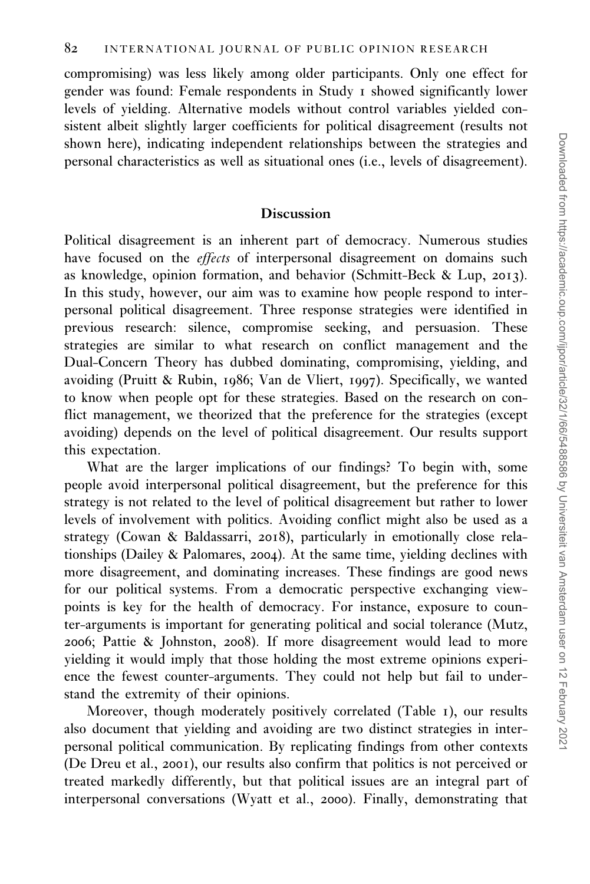compromising) was less likely among older participants. Only one effect for gender was found: Female respondents in Study 1 showed significantly lower levels of yielding. Alternative models without control variables yielded consistent albeit slightly larger coefficients for political disagreement (results not shown here), indicating independent relationships between the strategies and personal characteristics as well as situational ones (i.e., levels of disagreement).

#### Discussion

Political disagreement is an inherent part of democracy. Numerous studies have focused on the effects of interpersonal disagreement on domains such as knowledge, opinion formation, and behavior [\(Schmitt-Beck & Lup,](#page-22-0) 2013). In this study, however, our aim was to examine how people respond to interpersonal political disagreement. Three response strategies were identified in previous research: silence, compromise seeking, and persuasion. These strategies are similar to what research on conflict management and the Dual-Concern Theory has dubbed dominating, compromising, yielding, and avoiding [\(Pruitt & Rubin,](#page-22-0) 1986; [Van de Vliert,](#page-22-0) 1997). Specifically, we wanted to know when people opt for these strategies. Based on the research on conflict management, we theorized that the preference for the strategies (except avoiding) depends on the level of political disagreement. Our results support this expectation.

What are the larger implications of our findings? To begin with, some people avoid interpersonal political disagreement, but the preference for this strategy is not related to the level of political disagreement but rather to lower levels of involvement with politics. Avoiding conflict might also be used as a strategy ([Cowan & Baldassarri,](#page-20-0) 2018), particularly in emotionally close relationships [\(Dailey & Palomares,](#page-20-0) 2004). At the same time, yielding declines with more disagreement, and dominating increases. These findings are good news for our political systems. From a democratic perspective exchanging viewpoints is key for the health of democracy. For instance, exposure to counter-arguments is important for generating political and social tolerance [\(Mutz,](#page-22-0) [2006](#page-22-0); [Pattie & Johnston,](#page-22-0) 2008). If more disagreement would lead to more yielding it would imply that those holding the most extreme opinions experience the fewest counter-arguments. They could not help but fail to understand the extremity of their opinions.

Moreover, though moderately positively correlated ([Table](#page-11-0) 1), our results also document that yielding and avoiding are two distinct strategies in interpersonal political communication. By replicating findings from other contexts ([De Dreu et al.,](#page-20-0) 2001), our results also confirm that politics is not perceived or treated markedly differently, but that political issues are an integral part of interpersonal conversations [\(Wyatt et al.,](#page-22-0) 2000). Finally, demonstrating that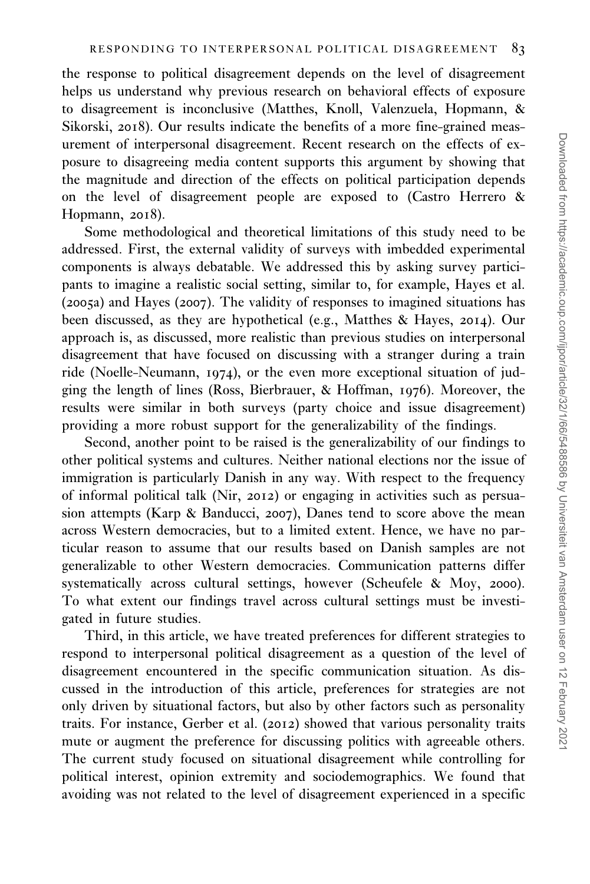the response to political disagreement depends on the level of disagreement helps us understand why previous research on behavioral effects of exposure to disagreement is inconclusive ([Matthes, Knoll, Valenzuela, Hopmann, &](#page-21-0) [Sikorski,](#page-21-0) 2018). Our results indicate the benefits of a more fine-grained measurement of interpersonal disagreement. Recent research on the effects of exposure to disagreeing media content supports this argument by showing that the magnitude and direction of the effects on political participation depends on the level of disagreement people are exposed to [\(Castro Herrero &](#page-20-0) [Hopmann,](#page-20-0) 2018).

Some methodological and theoretical limitations of this study need to be addressed. First, the external validity of surveys with imbedded experimental components is always debatable. We addressed this by asking survey participants to imagine a realistic social setting, similar to, for example, [Hayes et al.](#page-21-0) ([2005](#page-21-0)a) and [Hayes \(](#page-21-0)2007). The validity of responses to imagined situations has been discussed, as they are hypothetical (e.g., [Matthes & Hayes,](#page-21-0) 2014). Our approach is, as discussed, more realistic than previous studies on interpersonal disagreement that have focused on discussing with a stranger during a train ride [\(Noelle-Neumann,](#page-22-0) 1974), or the even more exceptional situation of judging the length of lines ([Ross, Bierbrauer, & Hoffman,](#page-22-0) 1976). Moreover, the results were similar in both surveys (party choice and issue disagreement) providing a more robust support for the generalizability of the findings.

Second, another point to be raised is the generalizability of our findings to other political systems and cultures. Neither national elections nor the issue of immigration is particularly Danish in any way. With respect to the frequency of informal political talk (Nir, [2012](#page-22-0)) or engaging in activities such as persuasion attempts [\(Karp & Banducci,](#page-21-0) 2007), Danes tend to score above the mean across Western democracies, but to a limited extent. Hence, we have no particular reason to assume that our results based on Danish samples are not generalizable to other Western democracies. Communication patterns differ systematically across cultural settings, however ([Scheufele & Moy,](#page-22-0) 2000). To what extent our findings travel across cultural settings must be investigated in future studies.

Third, in this article, we have treated preferences for different strategies to respond to interpersonal political disagreement as a question of the level of disagreement encountered in the specific communication situation. As discussed in the introduction of this article, preferences for strategies are not only driven by situational factors, but also by other factors such as personality traits. For instance, [Gerber et al. \(](#page-21-0)2012) showed that various personality traits mute or augment the preference for discussing politics with agreeable others. The current study focused on situational disagreement while controlling for political interest, opinion extremity and sociodemographics. We found that avoiding was not related to the level of disagreement experienced in a specific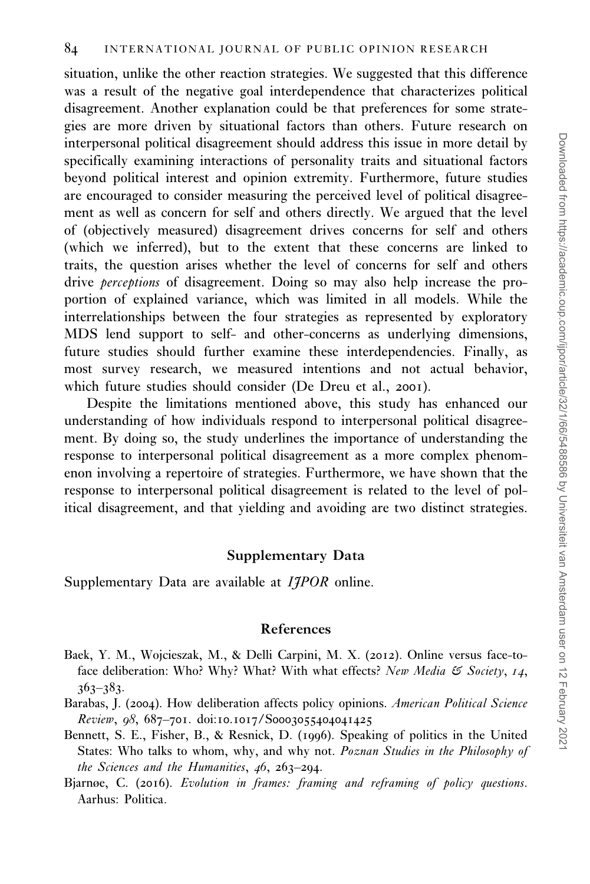<span id="page-19-0"></span>situation, unlike the other reaction strategies. We suggested that this difference was a result of the negative goal interdependence that characterizes political disagreement. Another explanation could be that preferences for some strategies are more driven by situational factors than others. Future research on interpersonal political disagreement should address this issue in more detail by specifically examining interactions of personality traits and situational factors beyond political interest and opinion extremity. Furthermore, future studies are encouraged to consider measuring the perceived level of political disagreement as well as concern for self and others directly. We argued that the level of (objectively measured) disagreement drives concerns for self and others (which we inferred), but to the extent that these concerns are linked to traits, the question arises whether the level of concerns for self and others drive perceptions of disagreement. Doing so may also help increase the proportion of explained variance, which was limited in all models. While the interrelationships between the four strategies as represented by exploratory MDS lend support to self- and other-concerns as underlying dimensions, future studies should further examine these interdependencies. Finally, as most survey research, we measured intentions and not actual behavior, which future studies should consider [\(De Dreu et al.,](#page-20-0) 2001).

Despite the limitations mentioned above, this study has enhanced our understanding of how individuals respond to interpersonal political disagreement. By doing so, the study underlines the importance of understanding the response to interpersonal political disagreement as a more complex phenomenon involving a repertoire of strategies. Furthermore, we have shown that the response to interpersonal political disagreement is related to the level of political disagreement, and that yielding and avoiding are two distinct strategies.

#### Supplementary Data

Supplementary Data are available at *IIPOR* online.

## References

- Baek, Y. M., Wojcieszak, M., & Delli Carpini, M. X. (2012). Online versus face-toface deliberation: Who? Why? What? With what effects? New Media & Society, 14, 363–383.
- Barabas, J. (2004). How deliberation affects policy opinions. American Political Science Review, 98, 687–701. doi:10.1017/S0003055404041425
- Bennett, S. E., Fisher, B., & Resnick, D. (1996). Speaking of politics in the United States: Who talks to whom, why, and why not. Poznan Studies in the Philosophy of the Sciences and the Humanities, 46, 263–294.
- Bjarnøe, C. (2016). Evolution in frames: framing and reframing of policy questions. Aarhus: Politica.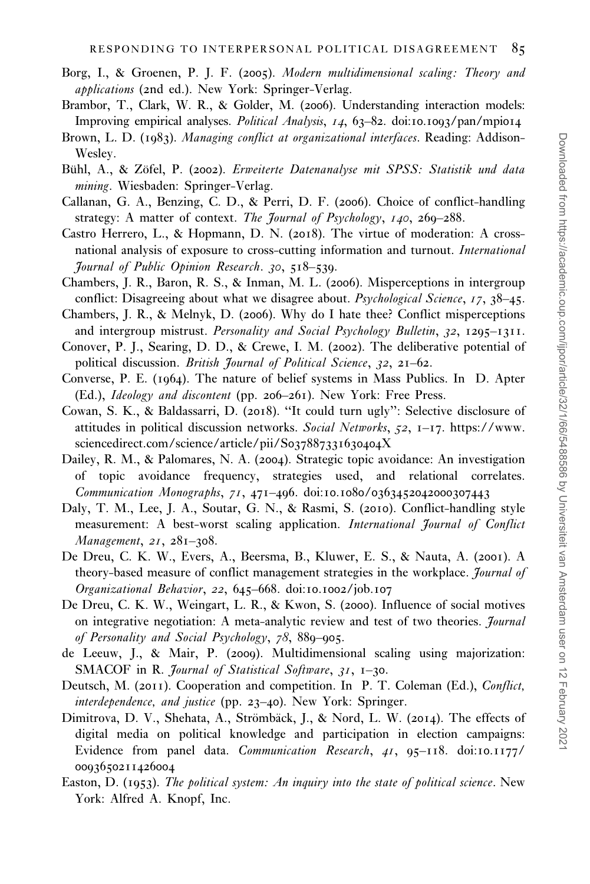- <span id="page-20-0"></span>Borg, I., & Groenen, P. J. F. (2005). Modern multidimensional scaling: Theory and applications (2nd ed.). New York: Springer-Verlag.
- Brambor, T., Clark, W. R., & Golder, M. (2006). Understanding interaction models: Improving empirical analyses. Political Analysis, 14, 63–82. doi:10.1093/pan/mpi014
- Brown, L. D. (1983). Managing conflict at organizational interfaces. Reading: Addison-Wesley.
- Bühl, A., & Zöfel, P. (2002). Erweiterte Datenanalyse mit SPSS: Statistik und data mining. Wiesbaden: Springer-Verlag.
- Callanan, G. A., Benzing, C. D., & Perri, D. F. (2006). Choice of conflict-handling strategy: A matter of context. The Journal of Psychology, 140, 260–288.
- Castro Herrero, L., & Hopmann, D. N. (2018). The virtue of moderation: A crossnational analysis of exposure to cross-cutting information and turnout. International Journal of Public Opinion Research. 30, 518–539.
- Chambers, J. R., Baron, R. S., & Inman, M. L. (2006). Misperceptions in intergroup conflict: Disagreeing about what we disagree about. *Psychological Science*, 17, 38–45.

Chambers, J. R., & Melnyk, D. (2006). Why do I hate thee? Conflict misperceptions and intergroup mistrust. Personality and Social Psychology Bulletin, 32, 1295-1311.

- Conover, P. J., Searing, D. D., & Crewe, I. M. (2002). The deliberative potential of political discussion. British Journal of Political Science, 32, 21-62.
- Converse, P. E. (1964). The nature of belief systems in Mass Publics. In D. Apter (Ed.), Ideology and discontent (pp. 206–261). New York: Free Press.
- Cowan, S. K., & Baldassarri, D. (2018). ''It could turn ugly'': Selective disclosure of attitudes in political discussion networks. Social Networks,  $52$ ,  $1-\frac{17}{17}$ . https://www. sciencedirect.com/science/article/pii/S037887331630404X
- Dailey, R. M., & Palomares, N. A. (2004). Strategic topic avoidance: An investigation of topic avoidance frequency, strategies used, and relational correlates. Communication Monographs, 71, 471–496. doi:10.1080/0363452042000307443
- Daly, T. M., Lee, J. A., Soutar, G. N., & Rasmi, S. (2010). Conflict-handling style measurement: A best-worst scaling application. International Journal of Conflict Management, 21, 281-308.
- De Dreu, C. K. W., Evers, A., Beersma, B., Kluwer, E. S., & Nauta, A. (2001). A theory-based measure of conflict management strategies in the workplace. *Journal of* Organizational Behavior, 22, 645–668. doi:10.1002/job.107
- De Dreu, C. K. W., Weingart, L. R., & Kwon, S. (2000). Influence of social motives on integrative negotiation: A meta-analytic review and test of two theories. *Journal* of Personality and Social Psychology, 78, 889–905.
- de Leeuw, J., & Mair, P. (2009). Multidimensional scaling using majorization: SMACOF in R. Journal of Statistical Software, 31, 1-30.
- Deutsch, M. (2011). Cooperation and competition. In P. T. Coleman (Ed.), Conflict, interdependence, and justice (pp. 23–40). New York: Springer.
- Dimitrova, D. V., Shehata, A., Strömbäck, J., & Nord, L. W. (2014). The effects of digital media on political knowledge and participation in election campaigns: Evidence from panel data. Communication Research, 41, 95–118. doi:10.1177/ 0093650211426004
- Easton, D. (1953). The political system: An inquiry into the state of political science. New York: Alfred A. Knopf, Inc.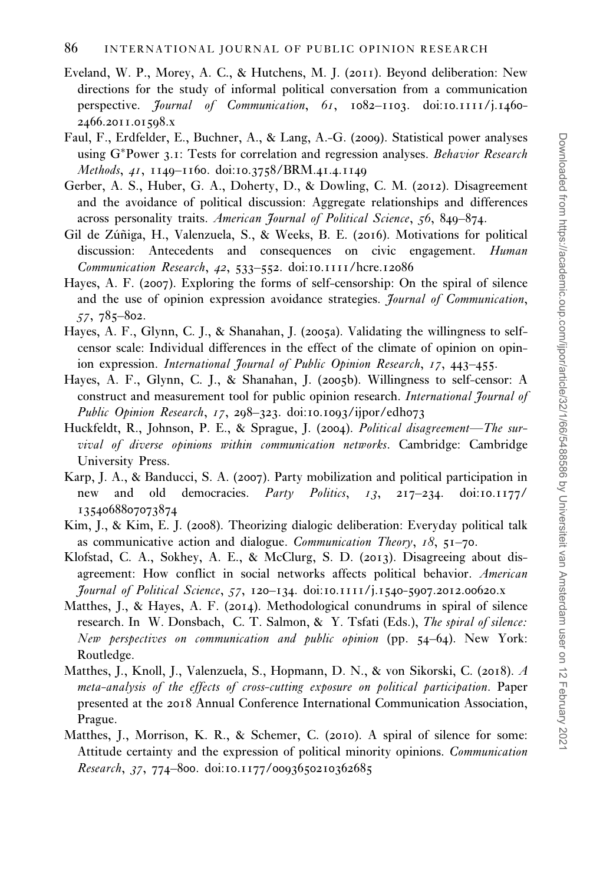- <span id="page-21-0"></span>Eveland, W. P., Morey, A. C., & Hutchens, M. J. (2011). Beyond deliberation: New directions for the study of informal political conversation from a communication perspective. Journal of Communication, 61, 1082-1103. doi:10.1111/j.1460-2466.2011.01598.x
- Faul, F., Erdfelder, E., Buchner, A., & Lang, A.-G. (2009). Statistical power analyses using G\*Power 3.1: Tests for correlation and regression analyses. Behavior Research Methods, 41, 1149–1160. doi:10.3758/BRM.41.4.1149
- Gerber, A. S., Huber, G. A., Doherty, D., & Dowling, C. M. (2012). Disagreement and the avoidance of political discussion: Aggregate relationships and differences across personality traits. American Journal of Political Science, 56, 849–874.
- Gil de Zúñiga, H., Valenzuela, S., & Weeks, B. E. (2016). Motivations for political discussion: Antecedents and consequences on civic engagement. Human Communication Research, 42, 533–552. doi:10.1111/hcre.12086
- Hayes, A. F. (2007). Exploring the forms of self-censorship: On the spiral of silence and the use of opinion expression avoidance strategies. *Journal of Communication*, 57, 785–802.
- Hayes, A. F., Glynn, C. J., & Shanahan, J. (2005a). Validating the willingness to selfcensor scale: Individual differences in the effect of the climate of opinion on opinion expression. International Journal of Public Opinion Research, 17, 443–455.
- Hayes, A. F., Glynn, C. J., & Shanahan, J. (2005b). Willingness to self-censor: A construct and measurement tool for public opinion research. International Journal of Public Opinion Research, 17, 298-323. doi:10.1093/ijpor/edh073
- Huckfeldt, R., Johnson, P. E., & Sprague, J. (2004). Political disagreement—The survival of diverse opinions within communication networks. Cambridge: Cambridge University Press.
- Karp, J. A., & Banducci, S. A. (2007). Party mobilization and political participation in new and old democracies. Party Politics, 13, 217-234. doi:10.1177/ 1354068807073874
- Kim, J., & Kim, E. J. (2008). Theorizing dialogic deliberation: Everyday political talk as communicative action and dialogue. *Communication Theory*,  $18$ ,  $51–70$ .
- Klofstad, C. A., Sokhey, A. E., & McClurg, S. D. (2013). Disagreeing about disagreement: How conflict in social networks affects political behavior. American Journal of Political Science, 57, 120–134. doi:10.1111/j.1540-5907.2012.00620.x
- Matthes, J., & Hayes, A. F. (2014). Methodological conundrums in spiral of silence research. In W. Donsbach, C. T. Salmon, & Y. Tsfati (Eds.), The spiral of silence: New perspectives on communication and public opinion (pp. 54–64). New York: Routledge.
- Matthes, J., Knoll, J., Valenzuela, S., Hopmann, D. N., & von Sikorski, C. (2018). A meta-analysis of the effects of cross-cutting exposure on political participation. Paper presented at the 2018 Annual Conference International Communication Association, Prague.
- Matthes, J., Morrison, K. R., & Schemer, C. (2010). A spiral of silence for some: Attitude certainty and the expression of political minority opinions. Communication Research, 37, 774–800. doi:10.1177/0093650210362685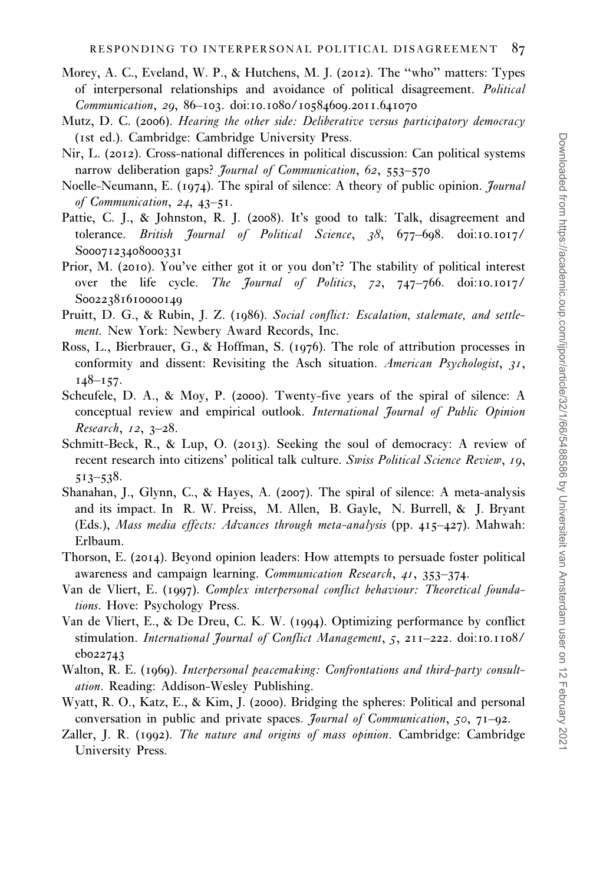- <span id="page-22-0"></span>Morey, A. C., Eveland, W. P., & Hutchens, M. J. (2012). The ''who'' matters: Types of interpersonal relationships and avoidance of political disagreement. Political Communication, 29, 86–103. doi:10.1080/10584609.2011.641070
- Mutz, D. C. (2006). Hearing the other side: Deliberative versus participatory democracy (1st ed.). Cambridge: Cambridge University Press.
- Nir, L. (2012). Cross-national differences in political discussion: Can political systems narrow deliberation gaps? *Journal of Communication*, 62, 553-570
- Noelle-Neumann, E. (1974). The spiral of silence: A theory of public opinion. *Journal* of Communication, 24, 43–51.
- Pattie, C. J., & Johnston, R. J. (2008). It's good to talk: Talk, disagreement and tolerance. British Journal of Political Science, 38, 677-698. doi:10.1017/ S0007123408000331
- Prior, M. (2010). You've either got it or you don't? The stability of political interest over the life cycle. The Journal of Politics, 72, 747-766. doi:10.1017/ S0022381610000140
- Pruitt, D. G., & Rubin, J. Z. (1986). Social conflict: Escalation, stalemate, and settlement. New York: Newbery Award Records, Inc.
- Ross, L., Bierbrauer, G., & Hoffman, S. (1976). The role of attribution processes in conformity and dissent: Revisiting the Asch situation. American Psychologist,  $31$ ,  $148 - 157$ .
- Scheufele, D. A., & Moy, P. (2000). Twenty-five years of the spiral of silence: A conceptual review and empirical outlook. International Journal of Public Opinion Research, 12, 3–28.
- Schmitt-Beck, R., & Lup, O. (2013). Seeking the soul of democracy: A review of recent research into citizens' political talk culture. Swiss Political Science Review, 19, 513–538.
- Shanahan, J., Glynn, C., & Hayes, A. (2007). The spiral of silence: A meta-analysis and its impact. In R. W. Preiss, M. Allen, B. Gayle, N. Burrell, & J. Bryant (Eds.), Mass media effects: Advances through meta-analysis (pp. 415–427). Mahwah: Erlbaum.
- Thorson, E. (2014). Beyond opinion leaders: How attempts to persuade foster political awareness and campaign learning. Communication Research, 41, 353-374.
- Van de Vliert, E. (1997). Complex interpersonal conflict behaviour: Theoretical foundations. Hove: Psychology Press.
- Van de Vliert, E., & De Dreu, C. K. W. (1994). Optimizing performance by conflict stimulation. International Journal of Conflict Management, 5, 211-222. doi:10.1108/ eb022743
- Walton, R. E. (1969). Interpersonal peacemaking: Confrontations and third-party consultation. Reading: Addison-Wesley Publishing.
- Wyatt, R. O., Katz, E., & Kim, J. (2000). Bridging the spheres: Political and personal conversation in public and private spaces. Journal of Communication, 50, 71–92.
- Zaller, J. R. (1992). The nature and origins of mass opinion. Cambridge: Cambridge University Press.